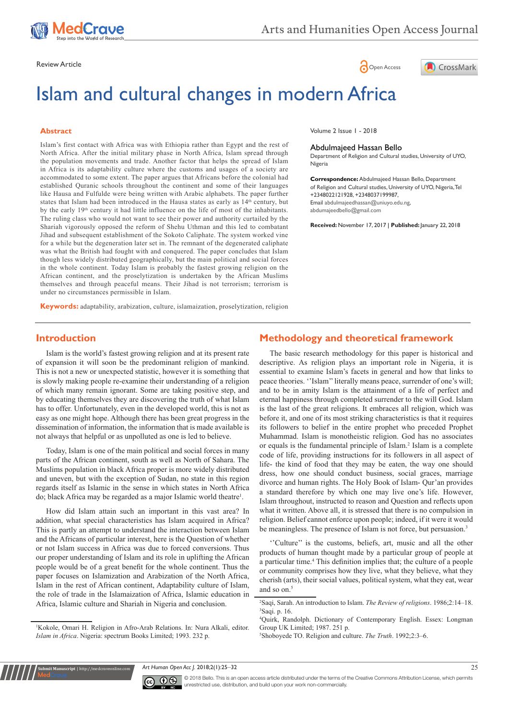





# Islam and cultural changes in modern Africa

#### **Abstract**

Islam's first contact with Africa was with Ethiopia rather than Egypt and the rest of North Africa. After the initial military phase in North Africa, Islam spread through the population movements and trade. Another factor that helps the spread of Islam in Africa is its adaptability culture where the customs and usages of a society are accommodated to some extent. The paper argues that Africans before the colonial had established Quranic schools throughout the continent and some of their languages like Hausa and Fulfulde were being written with Arabic alphabets. The paper further states that Islam had been introduced in the Hausa states as early as  $14<sup>th</sup>$  century, but by the early 19<sup>th</sup> century it had little influence on the life of most of the inhabitants. The ruling class who would not want to see their power and authority curtailed by the Shariah vigorously opposed the reform of Shehu Uthman and this led to combatant Jihad and subsequent establishment of the Sokoto Caliphate. The system worked vine for a while but the degeneration later set in. The remnant of the degenerated caliphate was what the British had fought with and conquered. The paper concludes that Islam though less widely distributed geographically, but the main political and social forces in the whole continent. Today Islam is probably the fastest growing religion on the African continent, and the proselytization is undertaken by the African Muslims themselves and through peaceful means. Their Jihad is not terrorism; terrorism is under no circumstances permissible in Islam.

Volume 2 Issue 1 - 2018

#### Abdulmajeed Hassan Bello

Department of Religion and Cultural studies, University of UYO, Nigeria

**Correspondence:** Abdulmajeed Hassan Bello, Department of Religion and Cultural studies, University of UYO, Nigeria, Tel +2348022121928, +2348037199987, Email abdulmajeedhassan@uniuyo.edu.ng, abdumajeedbello@gmail.com

**Received:** November 17, 2017 | **Published:** January 22, 2018

**Keywords:** adaptability, arabization, culture, islamaization, proselytization, religion

#### **Introduction**

Islam is the world's fastest growing religion and at its present rate of expansion it will soon be the predominant religion of mankind. This is not a new or unexpected statistic, however it is something that is slowly making people re-examine their understanding of a religion of which many remain ignorant. Some are taking positive step, and by educating themselves they are discovering the truth of what Islam has to offer. Unfortunately, even in the developed world, this is not as easy as one might hope. Although there has been great progress in the dissemination of information, the information that is made available is not always that helpful or as unpolluted as one is led to believe.

Today, Islam is one of the main political and social forces in many parts of the African continent, south as well as North of Sahara. The Muslims population in black Africa proper is more widely distributed and uneven, but with the exception of Sudan, no state in this region regards itself as Islamic in the sense in which states in North Africa do; black Africa may be regarded as a major Islamic world theatre<sup>1</sup>.

How did Islam attain such an important in this vast area? In addition, what special characteristics has Islam acquired in Africa? This is partly an attempt to understand the interaction between Islam and the Africans of particular interest, here is the Question of whether or not Islam success in Africa was due to forced conversions. Thus our proper understanding of Islam and its role in uplifting the African people would be of a great benefit for the whole continent. Thus the paper focuses on Islamization and Arabization of the North Africa, Islam in the rest of African continent, Adaptability culture of Islam, the role of trade in the Islamaization of Africa, Islamic education in Africa, Islamic culture and Shariah in Nigeria and conclusion.

**it Manuscript** | http://medcraveonline.

## **Methodology and theoretical framework**

The basic research methodology for this paper is historical and descriptive. As religion plays an important role in Nigeria, it is essential to examine Islam's facets in general and how that links to peace theories. ''Islam'' literally means peace, surrender of one's will; and to be in amity Islam is the attainment of a life of perfect and eternal happiness through completed surrender to the will God. Islam is the last of the great religions. It embraces all religion, which was before it, and one of its most striking characteristics is that it requires its followers to belief in the entire prophet who preceded Prophet Muhammad. Islam is monotheistic religion. God has no associates or equals is the fundamental principle of Islam.<sup>2</sup> Islam is a complete code of life, providing instructions for its followers in all aspect of life- the kind of food that they may be eaten, the way one should dress, how one should conduct business, social graces, marriage divorce and human rights. The Holy Book of Islam- Qur'an provides a standard therefore by which one may live one's life. However, Islam throughout, instructed to reason and Question and reflects upon what it written. Above all, it is stressed that there is no compulsion in religion. Belief cannot enforce upon people; indeed, if it were it would be meaningless. The presence of Islam is not force, but persuasion.<sup>3</sup>

''Culture'' is the customs, beliefs, art, music and all the other products of human thought made by a particular group of people at a particular time.4 This definition implies that; the culture of a people or community comprises how they live, what they believe, what they cherish (arts), their social values, political system, what they eat, wear and so on.<sup>5</sup>

4 Quirk, Randolph. Dictionary of Contemporary English. Essex: Longman Group UK Limited; 1987. 251 p.

5 Shoboyede TO. Religion and culture. *The Truth*. 1992;2:3–6.

*Art Human Open Acc J.* 2018;2(1):25‒32 25



<sup>1</sup> Kokole, Omari H. Religion in Afro-Arab Relations. In: Nura Alkali, editor. *Islam in Africa*. Nigeria: spectrum Books Limited; 1993. 232 p.

<sup>2</sup> Saqi, Sarah. An introduction to Islam. *The Review of religions*. 1986;2:14–18. 3 Saqi. p. 16.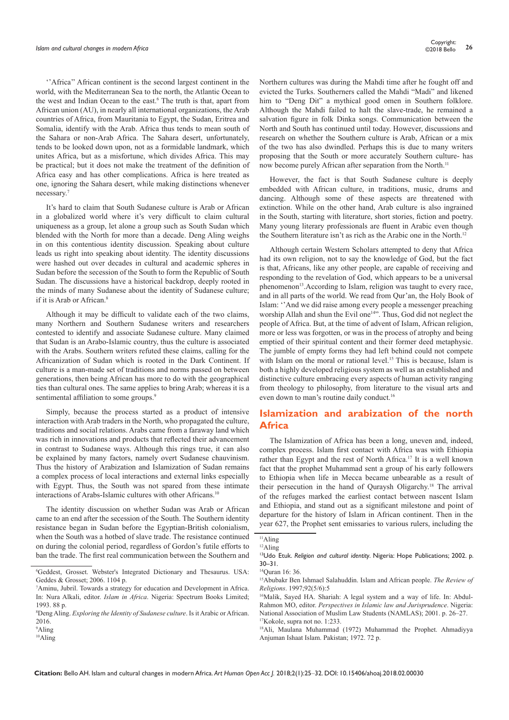''Africa'' African continent is the second largest continent in the world, with the Mediterranean Sea to the north, the Atlantic Ocean to the west and Indian Ocean to the east.<sup>6</sup> The truth is that, apart from African union (AU), in nearly all international organizations, the Arab countries of Africa, from Mauritania to Egypt, the Sudan, Eritrea and Somalia, identify with the Arab. Africa thus tends to mean south of the Sahara or non-Arab Africa. The Sahara desert, unfortunately, tends to be looked down upon, not as a formidable landmark, which unites Africa, but as a misfortune, which divides Africa. This may be practical; but it does not make the treatment of the definition of Africa easy and has other complications. Africa is here treated as one, ignoring the Sahara desert, while making distinctions whenever necessary.7

It's hard to claim that South Sudanese culture is Arab or African in a globalized world where it's very difficult to claim cultural uniqueness as a group, let alone a group such as South Sudan which blended with the North for more than a decade. Deng Aling weighs in on this contentious identity discussion. Speaking about culture leads us right into speaking about identity. The identity discussions were hashed out over decades in cultural and academic spheres in Sudan before the secession of the South to form the Republic of South Sudan. The discussions have a historical backdrop, deeply rooted in the minds of many Sudanese about the identity of Sudanese culture; if it is Arab or African.<sup>8</sup>

Although it may be difficult to validate each of the two claims, many Northern and Southern Sudanese writers and researchers contested to identify and associate Sudanese culture. Many claimed that Sudan is an Arabo-Islamic country, thus the culture is associated with the Arabs. Southern writers refuted these claims, calling for the Africanization of Sudan which is rooted in the Dark Continent. If culture is a man-made set of traditions and norms passed on between generations, then being African has more to do with the geographical ties than cultural ones. The same applies to bring Arab; whereas it is a sentimental affiliation to some groups.<sup>9</sup>

Simply, because the process started as a product of intensive interaction with Arab traders in the North, who propagated the culture, traditions and social relations. Arabs came from a faraway land which was rich in innovations and products that reflected their advancement in contrast to Sudanese ways. Although this rings true, it can also be explained by many factors, namely overt Sudanese chauvinism. Thus the history of Arabization and Islamization of Sudan remains a complex process of local interactions and external links especially with Egypt. Thus, the South was not spared from these intimate interactions of Arabs-Islamic cultures with other Africans.<sup>10</sup>

The identity discussion on whether Sudan was Arab or African came to an end after the secession of the South. The Southern identity resistance began in Sudan before the Egyptian-British colonialism, when the South was a hotbed of slave trade. The resistance continued on during the colonial period, regardless of Gordon's futile efforts to ban the trade. The first real communication between the Southern and Northern cultures was during the Mahdi time after he fought off and evicted the Turks. Southerners called the Mahdi "Madi" and likened him to "Deng Dit" a mythical good omen in Southern folklore. Although the Mahdi failed to halt the slave-trade, he remained a salvation figure in folk Dinka songs. Communication between the North and South has continued until today. However, discussions and research on whether the Southern culture is Arab, African or a mix of the two has also dwindled. Perhaps this is due to many writers proposing that the South or more accurately Southern culture- has now become purely African after separation from the North.<sup>11</sup>

However, the fact is that South Sudanese culture is deeply embedded with African culture, in traditions, music, drums and dancing. Although some of these aspects are threatened with extinction. While on the other hand, Arab culture is also ingrained in the South, starting with literature, short stories, fiction and poetry. Many young literary professionals are fluent in Arabic even though the Southern literature isn't as rich as the Arabic one in the North.12

Although certain Western Scholars attempted to deny that Africa had its own religion, not to say the knowledge of God, but the fact is that, Africans, like any other people, are capable of receiving and responding to the revelation of God, which appears to be a universal phenomenon<sup>13</sup>.According to Islam, religion was taught to every race, and in all parts of the world. We read from Qur'an, the Holy Book of Islam: ''And we did raise among every people a messenger preaching worship Allah and shun the Evil one<sup>14"</sup>. Thus, God did not neglect the people of Africa. But, at the time of advent of Islam, African religion, more or less was forgotten, or was in the process of atrophy and being emptied of their spiritual content and their former deed metaphysic. The jumble of empty forms they had left behind could not compete with Islam on the moral or rational level.<sup>15</sup> This is because, Islam is both a highly developed religious system as well as an established and distinctive culture embracing every aspects of human activity ranging from theology to philosophy, from literature to the visual arts and even down to man's routine daily conduct.<sup>16</sup>

# **Islamization and arabization of the north Africa**

The Islamization of Africa has been a long, uneven and, indeed, complex process. Islam first contact with Africa was with Ethiopia rather than Egypt and the rest of North Africa.17 It is a well known fact that the prophet Muhammad sent a group of his early followers to Ethiopia when life in Mecca became unbearable as a result of their persecution in the hand of Quraysh Oligarchy.18 The arrival of the refuges marked the earliest contact between nascent Islam and Ethiopia, and stand out as a significant milestone and point of departure for the history of Islam in African continent. Then in the year 627, the Prophet sent emissaries to various rulers, including the

<sup>6</sup> Geddest, Grosset. Webster's Integrated Dictionary and Thesaurus. USA: Geddes & Grosset; 2006. 1104 p.

<sup>7</sup> Aminu, Jubril. Towards a strategy for education and Development in Africa. In: Nura Alkali, editor. *Islam in Africa*. Nigeria: Spectrum Books Limited; 1993. 88 p.

<sup>8</sup> Deng Aling. *Exploring the Identity of Sudanese culture*. Is it Arabic or African. 2016.

<sup>9</sup> Aling

<sup>10</sup>Aling

<sup>11</sup>Aling 12Aling

<sup>13</sup>Udo Etuk. *Religion and cultural identity*. Nigeria: Hope Publications; 2002. p. 30–31.

<sup>14</sup>Quran 16: 36.

<sup>15</sup>Abubakr Ben Ishmael Salahuddin. Islam and African people. *The Review of Religions*. 1997;92(5/6):5

<sup>16</sup>Malik, Sayed HA. Shariah: A legal system and a way of life. In: Abdul-Rahmon MO, editor. *Perspectives in Islamic law and Jurisprudence*. Nigeria: National Association of Muslim Law Students (NAMLAS); 2001. p. 26–27. 17Kokole, supra not no. 1:233.

<sup>18</sup>Ali, Maulana Muhammad (1972) Muhammad the Prophet. Ahmadiyya Anjuman Ishaat Islam. Pakistan; 1972. 72 p.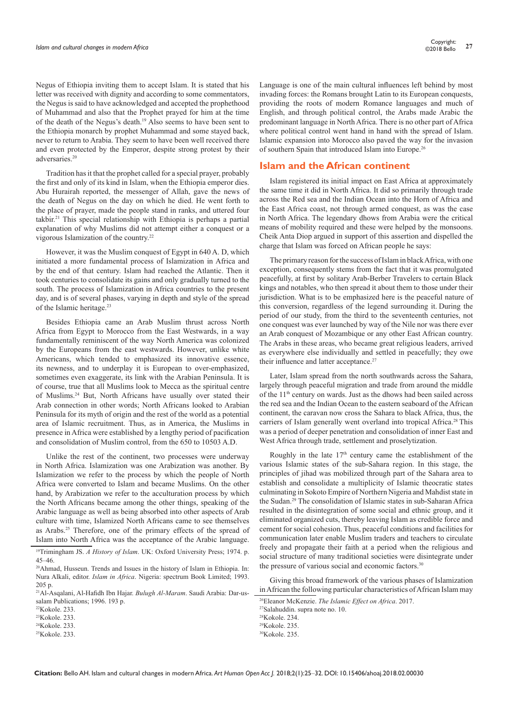Negus of Ethiopia inviting them to accept Islam. It is stated that his letter was received with dignity and according to some commentators, the Negus is said to have acknowledged and accepted the prophethood of Muhammad and also that the Prophet prayed for him at the time of the death of the Negus's death.19 Also seems to have been sent to the Ethiopia monarch by prophet Muhammad and some stayed back, never to return to Arabia. They seem to have been well received there and even protected by the Emperor, despite strong protest by their adversaries.20

Tradition has it that the prophet called for a special prayer, probably the first and only of its kind in Islam, when the Ethiopia emperor dies. Abu Hurairah reported, the messenger of Allah, gave the news of the death of Negus on the day on which he died. He went forth to the place of prayer, made the people stand in ranks, and uttered four takbir.21 This special relationship with Ethiopia is perhaps a partial explanation of why Muslims did not attempt either a conquest or a vigorous Islamization of the country.22

However, it was the Muslim conquest of Egypt in 640 A. D, which initiated a more fundamental process of Islamization in Africa and by the end of that century. Islam had reached the Atlantic. Then it took centuries to consolidate its gains and only gradually turned to the south. The process of Islamization in Africa countries to the present day, and is of several phases, varying in depth and style of the spread of the Islamic heritage.23

Besides Ethiopia came an Arab Muslim thrust across North Africa from Egypt to Morocco from the East Westwards, in a way fundamentally reminiscent of the way North America was colonized by the Europeans from the east westwards. However, unlike white Americans, which tended to emphasized its innovative essence, its newness, and to underplay it is European to over-emphasized, sometimes even exaggerate, its link with the Arabian Peninsula. It is of course, true that all Muslims look to Mecca as the spiritual centre of Muslims.24 But, North Africans have usually over stated their Arab connection in other words; North Africans looked to Arabian Peninsula for its myth of origin and the rest of the world as a potential area of Islamic recruitment. Thus, as in America, the Muslims in presence in Africa were established by a lengthy period of pacification and consolidation of Muslim control, from the 650 to 10503 A.D.

Unlike the rest of the continent, two processes were underway in North Africa. Islamization was one Arabization was another. By Islamization we refer to the process by which the people of North Africa were converted to Islam and became Muslims. On the other hand, by Arabization we refer to the acculturation process by which the North Africans became among the other things, speaking of the Arabic language as well as being absorbed into other aspects of Arab culture with time, Islamized North Africans came to see themselves as Arabs.25 Therefore, one of the primary effects of the spread of Islam into North Africa was the acceptance of the Arabic language. Language is one of the main cultural influences left behind by most invading forces: the Romans brought Latin to its European conquests, providing the roots of modern Romance languages and much of English, and through political control, the Arabs made Arabic the predominant language in North Africa. There is no other part of Africa where political control went hand in hand with the spread of Islam. Islamic expansion into Morocco also paved the way for the invasion of southern Spain that introduced Islam into Europe.<sup>26</sup>

#### **Islam and the African continent**

Islam registered its initial impact on East Africa at approximately the same time it did in North Africa. It did so primarily through trade across the Red sea and the Indian Ocean into the Horn of Africa and the East Africa coast, not through armed conquest, as was the case in North Africa. The legendary dhows from Arabia were the critical means of mobility required and these were helped by the monsoons. Cheik Anta Diop argued in support of this assertion and dispelled the charge that Islam was forced on African people he says:

The primary reason for the success of Islam in black Africa, with one exception, consequently stems from the fact that it was promulgated peacefully, at first by solitary Arab-Berber Travelers to certain Black kings and notables, who then spread it about them to those under their jurisdiction. What is to be emphasized here is the peaceful nature of this conversion, regardless of the legend surrounding it. During the period of our study, from the third to the seventeenth centuries, not one conquest was ever launched by way of the Nile nor was there ever an Arab conquest of Mozambique or any other East African country. The Arabs in these areas, who became great religious leaders, arrived as everywhere else individually and settled in peacefully; they owe their influence and latter acceptance.<sup>27</sup>

Later, Islam spread from the north southwards across the Sahara, largely through peaceful migration and trade from around the middle of the 11th century on wards. Just as the dhows had been sailed across the red sea and the Indian Ocean to the eastern seaboard of the African continent, the caravan now cross the Sahara to black Africa, thus, the carriers of Islam generally went overland into tropical Africa.<sup>28</sup> This was a period of deeper penetration and consolidation of inner East and West Africa through trade, settlement and proselytization.

Roughly in the late  $17<sup>th</sup>$  century came the establishment of the various Islamic states of the sub-Sahara region. In this stage, the principles of jihad was mobilized through part of the Sahara area to establish and consolidate a multiplicity of Islamic theocratic states culminating in Sokoto Empire of Northern Nigeria and Mahdist state in the Sudan.29 The consolidation of Islamic states in sub-Saharan Africa resulted in the disintegration of some social and ethnic group, and it eliminated organized cuts, thereby leaving Islam as credible force and cement for social cohesion. Thus, peaceful conditions and facilities for communication later enable Muslim traders and teachers to circulate freely and propagate their faith at a period when the religious and social structure of many traditional societies were disintegrate under the pressure of various social and economic factors.<sup>30</sup>

Giving this broad framework of the various phases of Islamization in African the following particular characteristics of African Islam may

<sup>19</sup>Trimingham JS. *A History of Islam*. UK: Oxford University Press; 1974. p. 45–46.

<sup>20</sup>Ahmad, Husseun. Trends and Issues in the history of Islam in Ethiopia. In: Nura Alkali, editor. *Islam in Africa*. Nigeria: spectrum Book Limited; 1993. 205 p.

<sup>21</sup>Al-Asqalani, Al-Hafidh Ibn Hajar. *Bulugh Al-Maram*. Saudi Arabia: Dar-ussalam Publications; 1996. 193 p.

 $22K$ okole. 233.

<sup>23</sup>Kokole. 233.

<sup>24</sup>Kokole. 233.  $25K$ okole. 233.

<sup>26</sup>Eleanor McKenzie. *The Islamic Effect on Africa*. 2017.

<sup>27</sup>Salahuddin. supra note no. 10.

 $28K$ okole. 234.

<sup>29</sup>Kokole. 235.

<sup>30</sup>Kokole. 235.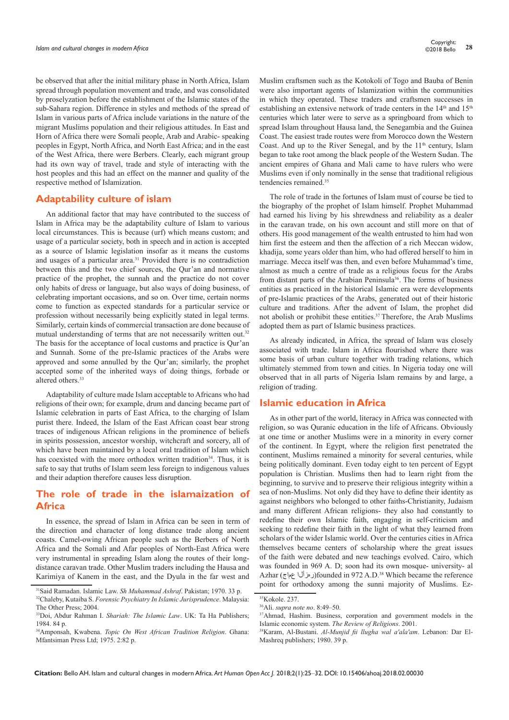be observed that after the initial military phase in North Africa, Islam spread through population movement and trade, and was consolidated by proselyzation before the establishment of the Islamic states of the sub-Sahara region. Difference in styles and methods of the spread of Islam in various parts of Africa include variations in the nature of the migrant Muslims population and their religious attitudes. In East and Horn of Africa there were Somali people, Arab and Arabic- speaking peoples in Egypt, North Africa, and North East Africa; and in the east of the West Africa, there were Berbers. Clearly, each migrant group had its own way of travel, trade and style of interacting with the host peoples and this had an effect on the manner and quality of the respective method of Islamization.

### **Adaptability culture of islam**

An additional factor that may have contributed to the success of Islam in Africa may be the adaptability culture of Islam to various local circumstances. This is because (urf) which means custom; and usage of a particular society, both in speech and in action is accepted as a source of Islamic legislation insofar as it means the customs and usages of a particular area.31 Provided there is no contradiction between this and the two chief sources, the Qur'an and normative practice of the prophet, the sunnah and the practice do not cover only habits of dress or language, but also ways of doing business, of celebrating important occasions, and so on. Over time, certain norms come to function as expected standards for a particular service or profession without necessarily being explicitly stated in legal terms. Similarly, certain kinds of commercial transaction are done because of mutual understanding of terms that are not necessarily written out.<sup>32</sup> The basis for the acceptance of local customs and practice is Qur'an and Sunnah. Some of the pre-Islamic practices of the Arabs were approved and some annulled by the Qur'an; similarly, the prophet accepted some of the inherited ways of doing things, forbade or altered others.33

Adaptability of culture made Islam acceptable to Africans who had religions of their own; for example, drum and dancing became part of Islamic celebration in parts of East Africa, to the charging of Islam purist there. Indeed, the Islam of the East African coast bear strong traces of indigenous African religions in the prominence of beliefs in spirits possession, ancestor worship, witchcraft and sorcery, all of which have been maintained by a local oral tradition of Islam which has coexisted with the more orthodox written tradition<sup>34</sup>. Thus, it is safe to say that truths of Islam seem less foreign to indigenous values and their adaption therefore causes less disruption.

### **The role of trade in the islamaization of Africa**

In essence, the spread of Islam in Africa can be seen in term of the direction and character of long distance trade along ancient coasts. Camel-owing African people such as the Berbers of North Africa and the Somali and Afar peoples of North-East Africa were very instrumental in spreading Islam along the routes of their longdistance caravan trade. Other Muslim traders including the Hausa and Karimiya of Kanem in the east, and the Dyula in the far west and Muslim craftsmen such as the Kotokoli of Togo and Bauba of Benin were also important agents of Islamization within the communities in which they operated. These traders and craftsmen successes in establishing an extensive network of trade centers in the 14<sup>th</sup> and 15<sup>th</sup> centuries which later were to serve as a springboard from which to spread Islam throughout Hausa land, the Senegambia and the Guinea Coast. The easiest trade routes were from Morocco down the Western Coast. And up to the River Senegal, and by the  $11<sup>th</sup>$  century, Islam began to take root among the black people of the Western Sudan. The ancient empires of Ghana and Mali came to have rulers who were Muslims even if only nominally in the sense that traditional religious tendencies remained.<sup>35</sup>

The role of trade in the fortunes of Islam must of course be tied to the biography of the prophet of Islam himself. Prophet Muhammad had earned his living by his shrewdness and reliability as a dealer in the caravan trade, on his own account and still more on that of others. His good management of the wealth entrusted to him had won him first the esteem and then the affection of a rich Meccan widow, khadija, some years older than him, who had offered herself to him in marriage. Mecca itself was then, and even before Muhammad's time, almost as much a centre of trade as a religious focus for the Arabs from distant parts of the Arabian Peninsula<sup>36</sup>. The forms of business entities as practiced in the historical Islamic era were developments of pre-Islamic practices of the Arabs, generated out of their historic culture and traditions. After the advent of Islam, the prophet did not abolish or prohibit these entities.<sup>37</sup> Therefore, the Arab Muslims adopted them as part of Islamic business practices.

As already indicated, in Africa, the spread of Islam was closely associated with trade. Islam in Africa flourished where there was some basis of urban culture together with trading relations, which ultimately stemmed from town and cities. In Nigeria today one will observed that in all parts of Nigeria Islam remains by and large, a religion of trading.

#### **Islamic education in Africa**

As in other part of the world, literacy in Africa was connected with religion, so was Quranic education in the life of Africans. Obviously at one time or another Muslims were in a minority in every corner of the continent. In Egypt, where the religion first penetrated the continent, Muslims remained a minority for several centuries, while being politically dominant. Even today eight to ten percent of Egypt population is Christian. Muslims then had to learn right from the beginning, to survive and to preserve their religious integrity within a sea of non-Muslims. Not only did they have to define their identity as against neighbors who belonged to other faiths-Christianity, Judaism and many different African religions- they also had constantly to redefine their own Islamic faith, engaging in self-criticism and seeking to redefine their faith in the light of what they learned from scholars of the wider Islamic world. Over the centuries cities in Africa themselves became centers of scholarship where the great issues of the faith were debated and new teachings evolved. Cairo, which was founded in 969 A. D; soon had its own mosque- university- al Azhar (عماج رهزألا(founded in 972 A.D.38 Which became the reference point for orthodoxy among the sunni majority of Muslims. Ez-

<sup>31</sup>Said Ramadan. Islamic Law. *Sh Muhammad Ashraf*. Pakistan; 1970. 33 p.

<sup>32</sup>Chaleby, Kutaiba S. *Forensic Psychiatry In Islamic Jurisprudence*. Malaysia: The Other Press; 2004.

<sup>33</sup>Doi, Abdur Rahman I. *Shariah: The Islamic Law*. UK: Ta Ha Publishers; 1984. 84 p.

<sup>34</sup>Amponsah, Kwabena. *Topic On West African Tradition Religion*. Ghana: Mfantsiman Press Ltd; 1975. 2:82 p.

<sup>35</sup>Kokole. 237.

<sup>36</sup>Ali. *supra note no*. 8:49–50.

<sup>&</sup>lt;sup>37</sup>Ahmad, Hashim. Business, corporation and government models in the Islamic economic system. *The Review of Religions*. 2001.

<sup>38</sup>Karam, Al-Bustani. *Al-Munjid fii llugha wal a'ala'am*. Lebanon: Dar El-Mashreq publishers; 1980. 39 p.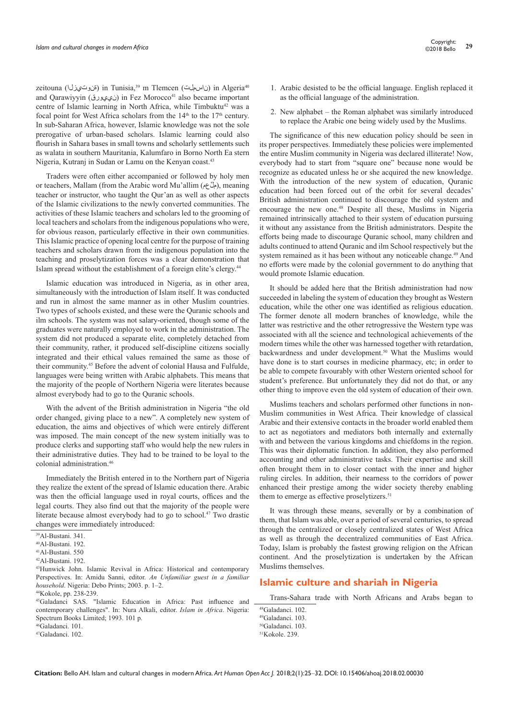zeitouna (iii) in Tunisia,<sup>39</sup> m Tlemcen (ijulual) in Algeria<sup>40</sup> and Qarawiyyin (ني عبورق) in Fez Morocco<sup>41</sup> also became important centre of Islamic learning in North Africa, while Timbuktu<sup>42</sup> was a focal point for West Africa scholars from the  $14<sup>th</sup>$  to the  $17<sup>th</sup>$  century. In sub-Saharan Africa, however, Islamic knowledge was not the sole prerogative of urban-based scholars. Islamic learning could also flourish in Sahara bases in small towns and scholarly settlements such as walata in southern Mauritania, Kalumfaro in Borno North Ea stern Nigeria, Kutranj in Sudan or Lamu on the Kenyan coast.43

Traders were often either accompanied or followed by holy men or teachers, Mallam (from the Arabic word Mu'allim (مِلَّ عم), meaning teacher or instructor, who taught the Qur'an as well as other aspects of the Islamic civilizations to the newly converted communities. The activities of these Islamic teachers and scholars led to the grooming of local teachers and scholars from the indigenous populations who were, for obvious reason, particularly effective in their own communities. This Islamic practice of opening local centre for the purpose of training teachers and scholars drawn from the indigenous population into the teaching and proselytization forces was a clear demonstration that Islam spread without the establishment of a foreign elite's clergy.44

Islamic education was introduced in Nigeria, as in other area, simultaneously with the introduction of Islam itself. It was conducted and run in almost the same manner as in other Muslim countries. Two types of schools existed, and these were the Quranic schools and ilm schools. The system was not salary-oriented, though some of the graduates were naturally employed to work in the administration. The system did not produced a separate elite, completely detached from their community, rather, it produced self-discipline citizens socially integrated and their ethical values remained the same as those of their community.45 Before the advent of colonial Hausa and Fulfulde, languages were being written with Arabic alphabets. This means that the majority of the people of Northern Nigeria were literates because almost everybody had to go to the Quranic schools.

With the advent of the British administration in Nigeria "the old order changed, giving place to a new". A completely new system of education, the aims and objectives of which were entirely different was imposed. The main concept of the new system initially was to produce clerks and supporting staff who would help the new rulers in their administrative duties. They had to be trained to be loyal to the colonial administration.46

Immediately the British entered in to the Northern part of Nigeria they realize the extent of the spread of Islamic education there. Arabic was then the official language used in royal courts, offices and the legal courts. They also find out that the majority of the people were literate because almost everybody had to go to school.47 Two drastic changes were immediately introduced:

- 1. Arabic desisted to be the official language. English replaced it as the official language of the administration.
- 2. New alphabet the Roman alphabet was similarly introduced to replace the Arabic one being widely used by the Muslims.

The significance of this new education policy should be seen in its proper perspectives. Immediately these policies were implemented the entire Muslim community in Nigeria was declared illiterate! Now, everybody had to start from "square one" because none would be recognize as educated unless he or she acquired the new knowledge. With the introduction of the new system of education, Quranic education had been forced out of the orbit for several decades' British administration continued to discourage the old system and encourage the new one.48 Despite all these, Muslims in Nigeria remained intrinsically attached to their system of education pursuing it without any assistance from the British administrators. Despite the efforts being made to discourage Quranic school, many children and adults continued to attend Quranic and ilm School respectively but the system remained as it has been without any noticeable change.<sup>49</sup> And no efforts were made by the colonial government to do anything that would promote Islamic education.

It should be added here that the British administration had now succeeded in labeling the system of education they brought as Western education, while the other one was identified as religious education. The former denote all modern branches of knowledge, while the latter was restrictive and the other retrogressive the Western type was associated with all the science and technological achievements of the modern times while the other was harnessed together with retardation, backwardness and under development.<sup>50</sup> What the Muslims would have done is to start courses in medicine pharmacy, etc; in order to be able to compete favourably with other Western oriented school for student's preference. But unfortunately they did not do that, or any other thing to improve even the old system of education of their own.

Muslims teachers and scholars performed other functions in non-Muslim communities in West Africa. Their knowledge of classical Arabic and their extensive contacts in the broader world enabled them to act as negotiators and mediators both internally and externally with and between the various kingdoms and chiefdoms in the region. This was their diplomatic function. In addition, they also performed accounting and other administrative tasks. Their expertise and skill often brought them in to closer contact with the inner and higher ruling circles. In addition, their nearness to the corridors of power enhanced their prestige among the wider society thereby enabling them to emerge as effective proselytizers.<sup>51</sup>

It was through these means, severally or by a combination of them, that Islam was able, over a period of several centuries, to spread through the centralized or closely centralized states of West Africa as well as through the decentralized communities of East Africa. Today, Islam is probably the fastest growing religion on the African continent. And the proselytization is undertaken by the African Muslims themselves.

### **Islamic culture and shariah in Nigeria**

Trans-Sahara trade with North Africans and Arabs began to

49Galadanci. 103.

<sup>39</sup>Al-Bustani. 341.

<sup>40</sup>Al-Bustani. 192.

<sup>41</sup>Al-Bustani. 550

<sup>42</sup>Al-Bustani. 192.

<sup>43</sup>Hunwick John. Islamic Revival in Africa: Historical and contemporary Perspectives. In: Amidu Sanni, editor. *An Unfamiliar guest in a familiar household*. Nigeria: Debo Prints; 2003. p. 1–2. 44Kokole, pp. 238-239.

<sup>45</sup>Galadanci SAS. "Islamic Education in Africa: Past influence and contemporary challenges". In: Nura Alkali, editor. *Islam in Africa*. Nigeria: Spectrum Books Limited; 1993. 101 p.

<sup>46</sup>Galadanci. 101.

<sup>47</sup>Galadanci. 102.

<sup>48</sup>Galadanci. 102.

<sup>50</sup>Galadanci. 103.

 $51K$ okole. 239.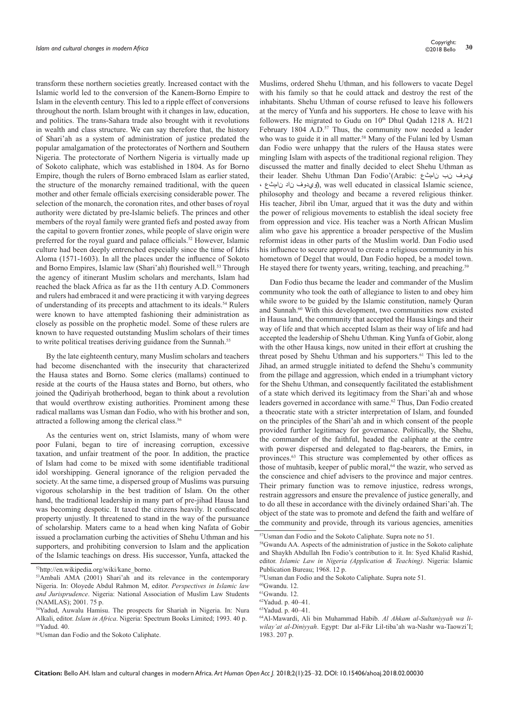transform these northern societies greatly. Increased contact with the Islamic world led to the conversion of the Kanem-Borno Empire to Islam in the eleventh century. This led to a ripple effect of conversions throughout the north. Islam brought with it changes in law, education, and politics. The trans-Sahara trade also brought with it revolutions in wealth and class structure. We can say therefore that, the history of Shari'ah as a system of administration of justice predated the popular amalgamation of the protectorates of Northern and Southern Nigeria. The protectorate of Northern Nigeria is virtually made up of Sokoto caliphate, which was established in 1804. As for Borno Empire, though the rulers of Borno embraced Islam as earlier stated, the structure of the monarchy remained traditional, with the queen mother and other female officials exercising considerable power. The selection of the monarch, the coronation rites, and other bases of royal authority were dictated by pre-Islamic beliefs. The princes and other members of the royal family were granted fiefs and posted away from the capital to govern frontier zones, while people of slave origin were preferred for the royal guard and palace officials.<sup>52</sup> However, Islamic culture had been deeply entrenched especially since the time of Idris Aloma (1571-1603). In all the places under the influence of Sokoto and Borno Empires, Islamic law (Shari'ah) flourished well.<sup>53</sup> Through the agency of itinerant Muslim scholars and merchants, Islam had reached the black Africa as far as the 11th century A.D. Commoners and rulers had embraced it and were practicing it with varying degrees of understanding of its precepts and attachment to its ideals.54 Rulers were known to have attempted fashioning their administration as closely as possible on the prophetic model. Some of these rulers are known to have requested outstanding Muslim scholars of their times to write political treatises deriving guidance from the Sunnah.<sup>55</sup>

By the late eighteenth century, many Muslim scholars and teachers had become disenchanted with the insecurity that characterized the Hausa states and Borno. Some clerics (mallams) continued to reside at the courts of the Hausa states and Borno, but others, who joined the Qadiriyah brotherhood, began to think about a revolution that would overthrow existing authorities. Prominent among these radical mallams was Usman dan Fodio, who with his brother and son, attracted a following among the clerical class.56

As the centuries went on, strict Islamists, many of whom were poor Fulani, began to tire of increasing corruption, excessive taxation, and unfair treatment of the poor. In addition, the practice of Islam had come to be mixed with some identifiable traditional idol worshipping. General ignorance of the religion pervaded the society. At the same time, a dispersed group of Muslims was pursuing vigorous scholarship in the best tradition of Islam. On the other hand, the traditional leadership in many part of pre-jihad Hausa land was becoming despotic. It taxed the citizens heavily. It confiscated property unjustly. It threatened to stand in the way of the pursuance of scholarship. Maters came to a head when king Nafata of Gobir issued a proclamation curbing the activities of Shehu Uthman and his supporters, and prohibiting conversion to Islam and the application of the Islamic teachings on dress. His successor, Yunfa, attacked the Muslims, ordered Shehu Uthman, and his followers to vacate Degel with his family so that he could attack and destroy the rest of the inhabitants. Shehu Uthman of course refused to leave his followers at the mercy of Yunfa and his supporters. He chose to leave with his followers. He migrated to Gudu on 10th Dhul Qadah 1218 A. H/21 February 1804 A.D.<sup>57</sup> Thus, the community now needed a leader who was to guide it in all matter.<sup>58</sup> Many of the Fulani led by Usman dan Fodio were unhappy that the rulers of the Hausa states were mingling Islam with aspects of the traditional regional religion. They discussed the matter and finally decided to elect Shehu Uthman as their leader. Shehu Uthman Dan Fodio'(Arabic: نامثع نب يدوف ، نامثع ناد ويدوف), was well educated in classical Islamic science, philosophy and theology and became a revered religious thinker. His teacher, Jibril ibn Umar, argued that it was the duty and within the power of religious movements to establish the ideal society free from oppression and vice. His teacher was a North African Muslim [alim](http://en.wikipedia.org/wiki/%27alim) who gave his apprentice a broader perspective of the Muslim reformist ideas in other parts of the Muslim world. Dan Fodio used his influence to secure approval to create a religious community in his hometown of Degel that would, Dan Fodio hoped, be a model town. He stayed there for twenty years, writing, teaching, and preaching.<sup>59</sup>

Dan Fodio thus became the leader and commander of the Muslim community who took the oath of allegiance to listen to and obey him while swore to be guided by the Islamic constitution, namely Quran and Sunnah.<sup>60</sup> With this development, two communities now existed in Hausa land, the community that accepted the Hausa kings and their way of life and that which accepted Islam as their way of life and had accepted the leadership of Shehu Uthman. King Yunfa of Gobir, along with the other Hausa kings, now united in their effort at crushing the threat posed by Shehu Uthman and his supporters.<sup>61</sup> This led to the Jihad, an armed struggle initiated to defend the Shehu's community from the pillage and aggression, which ended in a triumphant victory for the Shehu Uthman, and consequently facilitated the establishment of a state which derived its legitimacy from the Shari'ah and whose leaders governed in accordance with same.<sup>62</sup> Thus, Dan Fodio created a theocratic state with a stricter interpretation of Islam, and founded on the principles of the Shari'ah and in which consent of the people provided further legitimacy for governance. Politically, the Shehu, the commander of the faithful, headed the caliphate at the centre with power dispersed and delegated to flag-bearers, the Emirs, in provinces.63 This structure was complemented by other offices as those of muhtasib, keeper of public moral,<sup>64</sup> the wazir, who served as the conscience and chief advisers to the province and major centres. Their primary function was to remove injustice, redress wrongs, restrain aggressors and ensure the prevalence of justice generally, and to do all these in accordance with the divinely ordained Shari'ah. The object of the state was to promote and defend the faith and welfare of the community and provide, through its various agencies, amenities

 $52$ [http://en.wikipedia.org/wiki/kane\\_borno.](http://en.wikipedia.org/wiki/kane_borno)<br> $53$ Ambali AMA (2001) Shari'ah and its relevance in the contemporary Nigeria. In: Oloyede Abdul Rahmon M, editor. *Perspectives in Islamic law and Jurisprudence*. Nigeria: National Association of Muslim Law Students (NAMLAS); 2001. 75 p.

<sup>54</sup>Yadud, Auwalu Hamisu. The prospects for Shariah in Nigeria. In: Nura Alkali, editor. *Islam in Africa*. Nigeria: Spectrum Books Limited; 1993. 40 p. 55Yadud. 40.

<sup>56</sup>Usman dan Fodio and the Sokoto Caliphate.

<sup>57</sup>Usman dan Fodio and the Sokoto Caliphate. Supra note no 51.

<sup>58</sup>Gwandu AA. Aspects of the administration of justice in the Sokoto caliphate and Shaykh Abdullah Ibn Fodio's contribution to it. In: Syed Khalid Rashid, editor. *Islamic Law in Nigeria (Application & Teaching)*. Nigeria: Islamic Publication Bureau; 1968. 12 p.

<sup>59</sup>Usman dan Fodio and the Sokoto Caliphate. Supra note 51.

 $60$ Gwandu. 12.

<sup>61</sup>Gwandu. 12.

<sup>62</sup>Yadud. p. 40–41.

<sup>63</sup>Yadud. p. 40–41.

<sup>64</sup>Al-Mawardi, Ali bin Muhammad Habib. *Al Ahkam al-Sultaniyyah wa liwilay'at al-Diniyyah*. Egypt: Dar al-Fikr Lil-tiba'ah wa-Nashr wa-Taowzi'I; 1983. 207 p.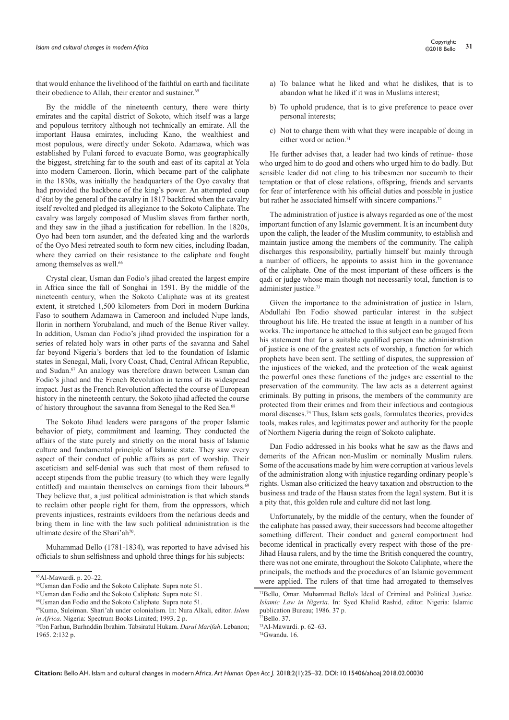that would enhance the livelihood of the faithful on earth and facilitate their obedience to Allah, their creator and sustainer.<sup>65</sup>

By the middle of the nineteenth century, there were thirty emirates and the capital district of Sokoto, which itself was a large and populous territory although not technically an emirate. All the important Hausa emirates, including Kano, the wealthiest and most populous, were directly under Sokoto. Adamawa, which was established by Fulani forced to evacuate Borno, was geographically the biggest, stretching far to the south and east of its capital at Yola into modern Cameroon. Ilorin, which became part of the caliphate in the 1830s, was initially the headquarters of the Oyo cavalry that had provided the backbone of the king's power. An attempted coup d'état by the general of the cavalry in 1817 backfired when the cavalry itself revolted and pledged its allegiance to the Sokoto Caliphate. The cavalry was largely composed of Muslim slaves from farther north, and they saw in the jihad a justification for rebellion. In the 1820s, Oyo had been torn asunder, and the defeated king and the warlords of the Oyo Mesi retreated south to form new cities, including Ibadan, where they carried on their resistance to the caliphate and fought among themselves as well.<sup>66</sup>

Crystal clear, Usman dan Fodio's jihad created the largest empire in Africa since the fall of Songhai in 1591. By the middle of the nineteenth century, when the Sokoto Caliphate was at its greatest extent, it stretched 1,500 kilometers from Dori in modern Burkina Faso to southern Adamawa in Cameroon and included Nupe lands, Ilorin in northern Yorubaland, and much of the Benue River valley. In addition, Usman dan Fodio's jihad provided the inspiration for a series of related holy wars in other parts of the savanna and Sahel far beyond Nigeria's borders that led to the foundation of Islamic states in Senegal, Mali, Ivory Coast, Chad, Central African Republic, and Sudan.67 An analogy was therefore drawn between Usman dan Fodio's jihad and the French Revolution in terms of its widespread impact. Just as the French Revolution affected the course of European history in the nineteenth century, the Sokoto jihad affected the course of history throughout the savanna from Senegal to the Red Sea.68

The Sokoto Jihad leaders were paragons of the proper Islamic behavior of piety, commitment and learning. They conducted the affairs of the state purely and strictly on the moral basis of Islamic culture and fundamental principle of Islamic state. They saw every aspect of their conduct of public affairs as part of worship. Their asceticism and self-denial was such that most of them refused to accept stipends from the public treasury (to which they were legally entitled) and maintain themselves on earnings from their labours.<sup>69</sup> They believe that, a just political administration is that which stands to reclaim other people right for them, from the oppressors, which prevents injustices, restraints evildoers from the nefarious deeds and bring them in line with the law such political administration is the ultimate desire of the Shari'ah<sup>70</sup>.

Muhammad Bello (1781-1834), was reported to have advised his officials to shun selfishness and uphold three things for his subjects:

- a) To balance what he liked and what he dislikes, that is to abandon what he liked if it was in Muslims interest;
- b) To uphold prudence, that is to give preference to peace over personal interests;
- c) Not to charge them with what they were incapable of doing in either word or action.<sup>71</sup>

He further advises that, a leader had two kinds of retinue- those who urged him to do good and others who urged him to do badly. But sensible leader did not cling to his tribesmen nor succumb to their temptation or that of close relations, offspring, friends and servants for fear of interference with his official duties and possible in justice but rather he associated himself with sincere companions.<sup>72</sup>

The administration of justice is always regarded as one of the most important function of any Islamic government. It is an incumbent duty upon the caliph, the leader of the Muslim community, to establish and maintain justice among the members of the community. The caliph discharges this responsibility, partially himself but mainly through a number of officers, he appoints to assist him in the governance of the caliphate. One of the most important of these officers is the qadi or judge whose main though not necessarily total, function is to administer justice.<sup>73</sup>

Given the importance to the administration of justice in Islam, Abdullahi Ibn Fodio showed particular interest in the subject throughout his life. He treated the issue at length in a number of his works. The importance he attached to this subject can be gauged from his statement that for a suitable qualified person the administration of justice is one of the greatest acts of worship, a function for which prophets have been sent. The settling of disputes, the suppression of the injustices of the wicked, and the protection of the weak against the powerful ones these functions of the judges are essential to the preservation of the community. The law acts as a deterrent against criminals. By putting in prisons, the members of the community are protected from their crimes and from their infectious and contagious moral diseases.74 Thus, Islam sets goals, formulates theories, provides tools, makes rules, and legitimates power and authority for the people of Northern Nigeria during the reign of Sokoto caliphate.

Dan Fodio addressed in his books what he saw as the flaws and demerits of the African non-Muslim or nominally Muslim rulers. Some of the accusations made by him were corruption at various levels of the administration along with injustice regarding ordinary people's rights. Usman also criticized the heavy taxation and obstruction to the business and trade of the Hausa states from the legal system. But it is a pity that, this golden rule and culture did not last long.

Unfortunately, by the middle of the century, when the founder of the caliphate has passed away, their successors had become altogether something different. Their conduct and general comportment had become identical in practically every respect with those of the pre-Jihad Hausa rulers, and by the time the British conquered the country, there was not one emirate, throughout the Sokoto Caliphate, where the principals, the methods and the procedures of an Islamic government were applied. The rulers of that time had arrogated to themselves

<sup>65</sup>Al-Mawardi. p. 20–22.

<sup>66</sup>Usman dan Fodio and the Sokoto Caliphate. Supra note 51.

<sup>67</sup>Usman dan Fodio and the Sokoto Caliphate. Supra note 51.

<sup>68</sup>Usman dan Fodio and the Sokoto Caliphate. Supra note 51.

<sup>69</sup>Kumo, Suleiman. Shari'ah under colonialism. In: Nura Alkali, editor. *Islam* 

*in Africa*. Nigeria: Spectrum Books Limited; 1993. 2 p.<br><sup>70</sup>Ibn Farhun, Burhnddin Ibrahim. Tabsiratul Hukam. *Darul Marifah*. Lebanon; 1965. 2:132 p.

<sup>71</sup>Bello, Omar. Muhammad Bello's Ideal of Criminal and Political Justice. *Islamic Law in Nigeria*. In: Syed Khalid Rashid, editor. Nigeria: Islamic publication Bureau; 1986. 37 p.  $72$ Bello. 37.

<sup>73</sup>Al-Mawardi. p. 62–63.

<sup>74</sup>Gwandu. 16.